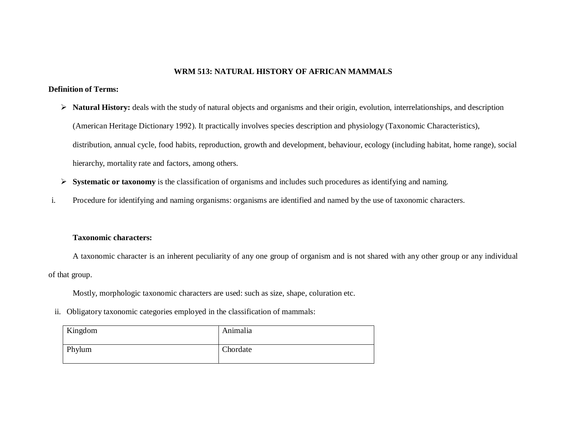### **WRM 513: NATURAL HISTORY OF AFRICAN MAMMALS**

### **Definition of Terms:**

- **Natural History:** deals with the study of natural objects and organisms and their origin, evolution, interrelationships, and description (American Heritage Dictionary 1992). It practically involves species description and physiology (Taxonomic Characteristics), distribution, annual cycle, food habits, reproduction, growth and development, behaviour, ecology (including habitat, home range), social hierarchy, mortality rate and factors, among others.
- **Systematic or taxonomy** is the classification of organisms and includes such procedures as identifying and naming.
- i. Procedure for identifying and naming organisms: organisms are identified and named by the use of taxonomic characters.

### **Taxonomic characters:**

A taxonomic character is an inherent peculiarity of any one group of organism and is not shared with any other group or any individual of that group.

Mostly, morphologic taxonomic characters are used: such as size, shape, coluration etc.

ii. Obligatory taxonomic categories employed in the classification of mammals:

| Kingdom | Animalia |
|---------|----------|
| Phylum  | Chordate |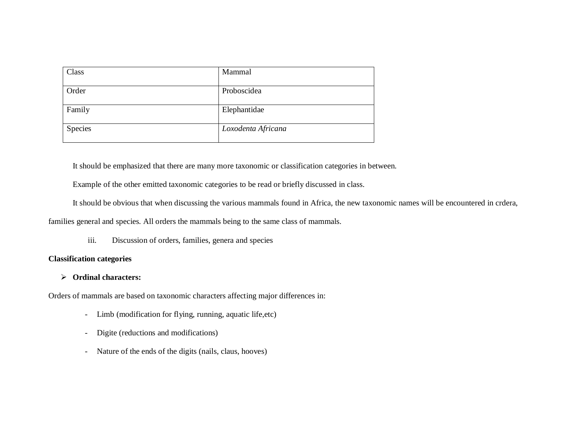| Class   | Mammal             |
|---------|--------------------|
| Order   | Proboscidea        |
| Family  | Elephantidae       |
| Species | Loxodenta Africana |

It should be emphasized that there are many more taxonomic or classification categories in between.

Example of the other emitted taxonomic categories to be read or briefly discussed in class.

It should be obvious that when discussing the various mammals found in Africa, the new taxonomic names will be encountered in crdera,

families general and species. All orders the mammals being to the same class of mammals.

iii. Discussion of orders, families, genera and species

### **Classification categories**

### **Ordinal characters:**

Orders of mammals are based on taxonomic characters affecting major differences in:

- Limb (modification for flying, running, aquatic life,etc)
- Digite (reductions and modifications)
- Nature of the ends of the digits (nails, claus, hooves)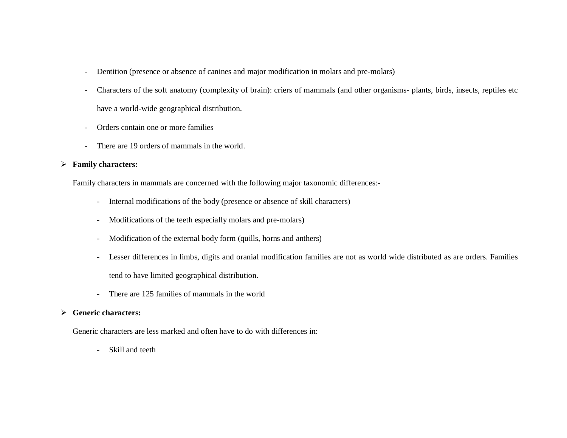- Dentition (presence or absence of canines and major modification in molars and pre-molars)
- Characters of the soft anatomy (complexity of brain): criers of mammals (and other organisms- plants, birds, insects, reptiles etc have a world-wide geographical distribution.
- Orders contain one or more families
- There are 19 orders of mammals in the world.

### **Family characters:**

Family characters in mammals are concerned with the following major taxonomic differences:-

- Internal modifications of the body (presence or absence of skill characters)
- Modifications of the teeth especially molars and pre-molars)
- Modification of the external body form (quills, horns and anthers)
- Lesser differences in limbs, digits and oranial modification families are not as world wide distributed as are orders. Families tend to have limited geographical distribution.
- There are 125 families of mammals in the world

### **Generic characters:**

Generic characters are less marked and often have to do with differences in:

Skill and teeth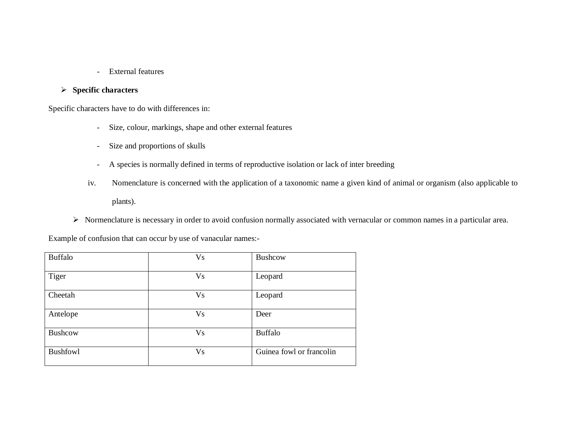- External features

## **Specific characters**

Specific characters have to do with differences in:

- Size, colour, markings, shape and other external features
- Size and proportions of skulls
- A species is normally defined in terms of reproductive isolation or lack of inter breeding
- iv. Nomenclature is concerned with the application of a taxonomic name a given kind of animal or organism (also applicable to plants).
- Normenclature is necessary in order to avoid confusion normally associated with vernacular or common names in a particular area.

Example of confusion that can occur by use of vanacular names:-

| <b>Buffalo</b>  | <b>Vs</b> | Bushcow                  |
|-----------------|-----------|--------------------------|
|                 |           |                          |
| Tiger           | <b>Vs</b> | Leopard                  |
|                 |           |                          |
| Cheetah         | Vs        | Leopard                  |
|                 |           |                          |
| Antelope        | Vs        | Deer                     |
|                 |           |                          |
| Bushcow         | Vs        | <b>Buffalo</b>           |
|                 |           |                          |
| <b>Bushfowl</b> | Vs        | Guinea fowl or francolin |
|                 |           |                          |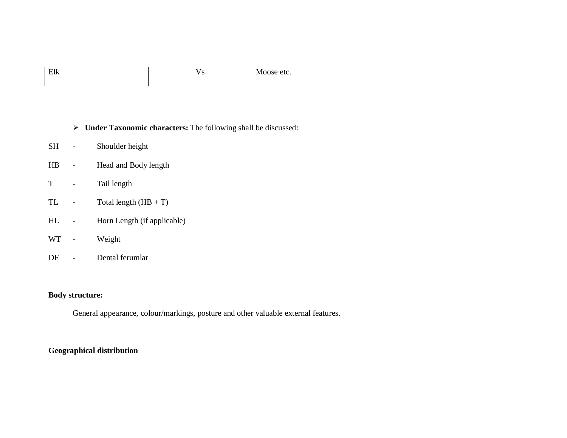| ١k<br>◡<br>___ | . . | eu.<br>.uusu |
|----------------|-----|--------------|
|                |     |              |

## **Under Taxonomic characters:** The following shall be discussed:

- SH Shoulder height
- HB Head and Body length
- T Tail length
- TL Total length  $(HB + T)$
- HL Horn Length (if applicable)
- WT Weight
- DF Dental ferumlar

## **Body structure:**

General appearance, colour/markings, posture and other valuable external features.

## **Geographical distribution**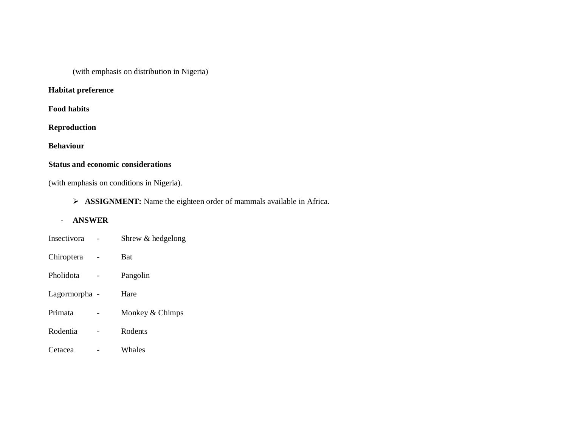(with emphasis on distribution in Nigeria)

## **Habitat preference**

**Food habits**

**Reproduction**

**Behaviour**

# **Status and economic considerations**

(with emphasis on conditions in Nigeria).

**ASSIGNMENT:** Name the eighteen order of mammals available in Africa.

### - **ANSWER**

| Insectivora   | Shrew & hedgelong |
|---------------|-------------------|
| Chiroptera    | <b>Bat</b>        |
| Pholidota     | Pangolin          |
| Lagormorpha - | Hare              |
| Primata       | Monkey & Chimps   |
| Rodentia      | Rodents           |
| Cetacea       | Whales            |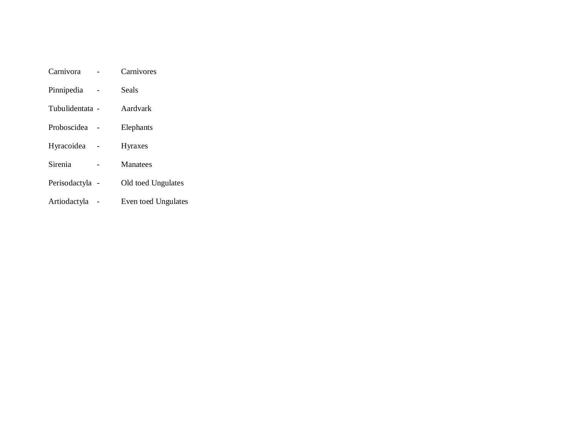| Carnivora       | Carnivores          |
|-----------------|---------------------|
| Pinnipedia      | Seals               |
| Tubulidentata - | Aardvark            |
| Proboscidea     | Elephants           |
| Hyracoidea      | <b>Hyraxes</b>      |
| Sirenia         | Manatees            |
| Perisodactyla - | Old toed Ungulates  |
| Artiodactyla    | Even toed Ungulates |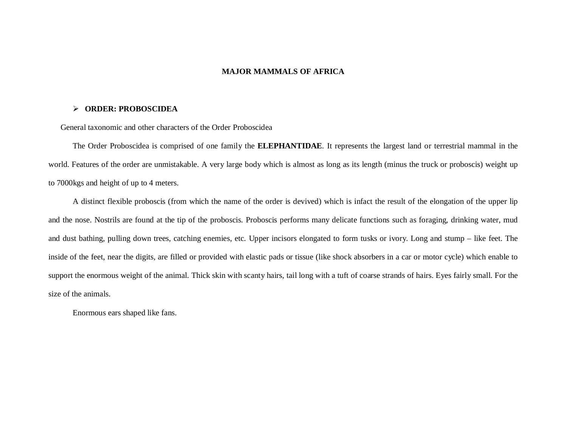#### **MAJOR MAMMALS OF AFRICA**

#### **ORDER: PROBOSCIDEA**

General taxonomic and other characters of the Order Proboscidea

The Order Proboscidea is comprised of one family the **ELEPHANTIDAE**. It represents the largest land or terrestrial mammal in the world. Features of the order are unmistakable. A very large body which is almost as long as its length (minus the truck or proboscis) weight up to 7000kgs and height of up to 4 meters.

A distinct flexible proboscis (from which the name of the order is devived) which is infact the result of the elongation of the upper lip and the nose. Nostrils are found at the tip of the proboscis. Proboscis performs many delicate functions such as foraging, drinking water, mud and dust bathing, pulling down trees, catching enemies, etc. Upper incisors elongated to form tusks or ivory. Long and stump – like feet. The inside of the feet, near the digits, are filled or provided with elastic pads or tissue (like shock absorbers in a car or motor cycle) which enable to support the enormous weight of the animal. Thick skin with scanty hairs, tail long with a tuft of coarse strands of hairs. Eyes fairly small. For the size of the animals.

Enormous ears shaped like fans.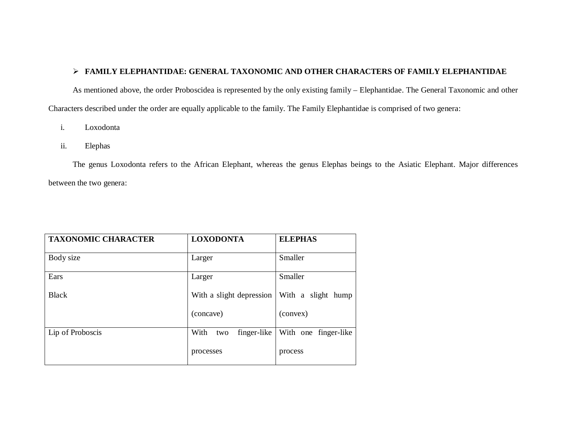### **FAMILY ELEPHANTIDAE: GENERAL TAXONOMIC AND OTHER CHARACTERS OF FAMILY ELEPHANTIDAE**

As mentioned above, the order Proboscidea is represented by the only existing family – Elephantidae. The General Taxonomic and other Characters described under the order are equally applicable to the family. The Family Elephantidae is comprised of two genera:

- i. Loxodonta
- ii. Elephas

The genus Loxodonta refers to the African Elephant, whereas the genus Elephas beings to the Asiatic Elephant. Major differences between the two genera:

| <b>TAXONOMIC CHARACTER</b> | <b>LOXODONTA</b>           | <b>ELEPHAS</b>       |  |
|----------------------------|----------------------------|----------------------|--|
| Body size                  | Larger                     | Smaller              |  |
| Ears                       | Larger                     | Smaller              |  |
| <b>Black</b>               | With a slight depression   | With a slight hump   |  |
|                            | (concave)                  | (convex)             |  |
| Lip of Proboscis           | With<br>finger-like<br>two | With one finger-like |  |
|                            | processes                  | process              |  |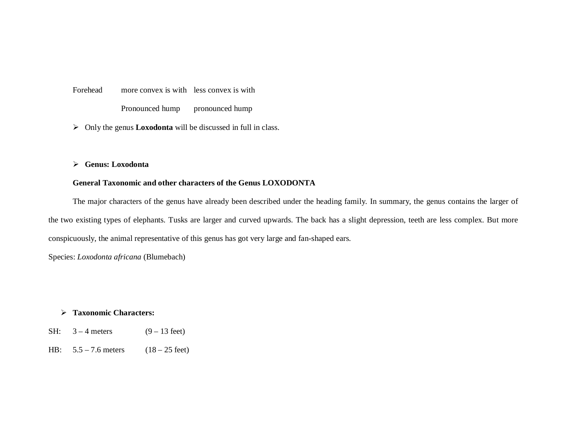Forehead more convex is with less convex is with Pronounced hump pronounced hump

Only the genus **Loxodonta** will be discussed in full in class.

**Genus: Loxodonta** 

### **General Taxonomic and other characters of the Genus LOXODONTA**

The major characters of the genus have already been described under the heading family. In summary, the genus contains the larger of the two existing types of elephants. Tusks are larger and curved upwards. The back has a slight depression, teeth are less complex. But more conspicuously, the animal representative of this genus has got very large and fan-shaped ears.

Species: *Loxodonta africana* (Blumebach)

### **Taxonomic Characters:**

- SH:  $3 4$  meters (9 13 feet)
- HB:  $5.5 7.6$  meters  $(18 25$  feet)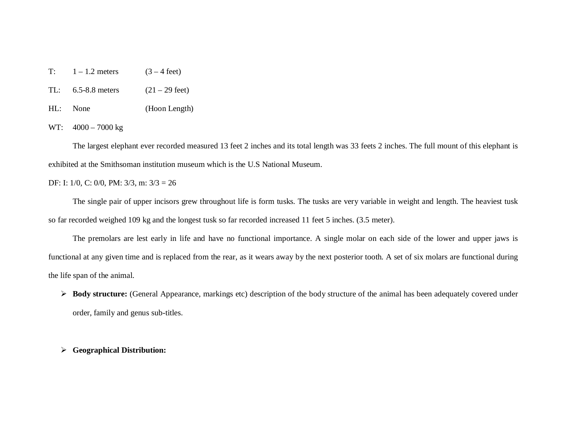- T:  $1 1.2$  meters  $(3 4 \text{ feet})$
- TL:  $6.5-8.8$  meters  $(21 29 \text{ feet})$
- HL: None (Hoon Length)

WT: 4000 – 7000 kg

The largest elephant ever recorded measured 13 feet 2 inches and its total length was 33 feets 2 inches. The full mount of this elephant is exhibited at the Smithsoman institution museum which is the U.S National Museum.

#### DF: I: 1/0, C: 0/0, PM: 3/3, m: 3/3 = 26

The single pair of upper incisors grew throughout life is form tusks. The tusks are very variable in weight and length. The heaviest tusk so far recorded weighed 109 kg and the longest tusk so far recorded increased 11 feet 5 inches. (3.5 meter).

The premolars are lest early in life and have no functional importance. A single molar on each side of the lower and upper jaws is functional at any given time and is replaced from the rear, as it wears away by the next posterior tooth. A set of six molars are functional during the life span of the animal.

 **Body structure:** (General Appearance, markings etc) description of the body structure of the animal has been adequately covered under order, family and genus sub-titles.

#### **Geographical Distribution:**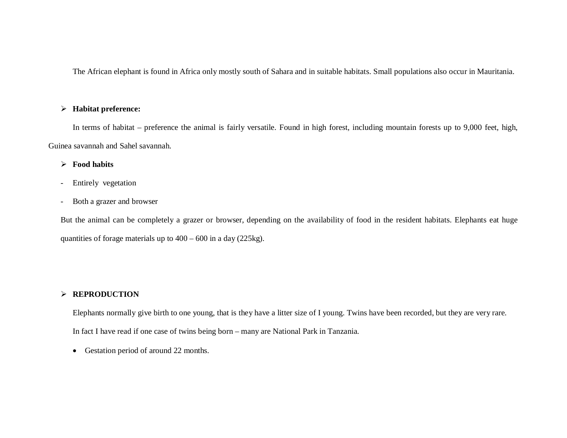The African elephant is found in Africa only mostly south of Sahara and in suitable habitats. Small populations also occur in Mauritania.

### **Habitat preference:**

In terms of habitat – preference the animal is fairly versatile. Found in high forest, including mountain forests up to 9,000 feet, high, Guinea savannah and Sahel savannah.

### **Food habits**

- Entirely vegetation
- Both a grazer and browser

But the animal can be completely a grazer or browser, depending on the availability of food in the resident habitats. Elephants eat huge quantities of forage materials up to 400 – 600 in a day (225kg).

## **REPRODUCTION**

Elephants normally give birth to one young, that is they have a litter size of I young. Twins have been recorded, but they are very rare. In fact I have read if one case of twins being born – many are National Park in Tanzania.

Gestation period of around 22 months.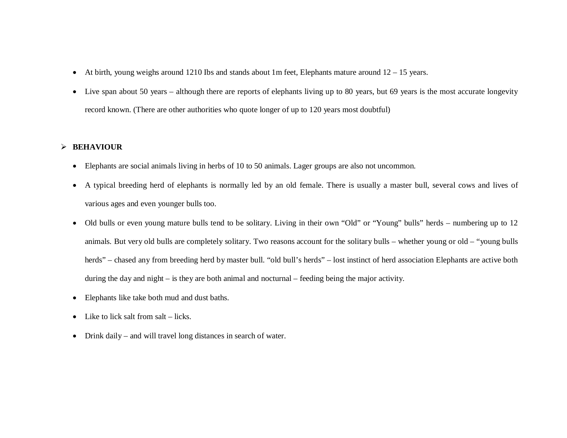- At birth, young weighs around 1210 Ibs and stands about 1m feet, Elephants mature around 12 15 years.
- Live span about 50 years although there are reports of elephants living up to 80 years, but 69 years is the most accurate longevity record known. (There are other authorities who quote longer of up to 120 years most doubtful)

### **BEHAVIOUR**

- Elephants are social animals living in herbs of 10 to 50 animals. Lager groups are also not uncommon.
- A typical breeding herd of elephants is normally led by an old female. There is usually a master bull, several cows and lives of various ages and even younger bulls too.
- Old bulls or even young mature bulls tend to be solitary. Living in their own "Old" or "Young" bulls" herds numbering up to 12 animals. But very old bulls are completely solitary. Two reasons account for the solitary bulls – whether young or old – "young bulls herds" – chased any from breeding herd by master bull. "old bull's herds" – lost instinct of herd association Elephants are active both during the day and night – is they are both animal and nocturnal – feeding being the major activity.
- Elephants like take both mud and dust baths.
- $\bullet$  Like to lick salt from salt licks.
- Drink daily and will travel long distances in search of water.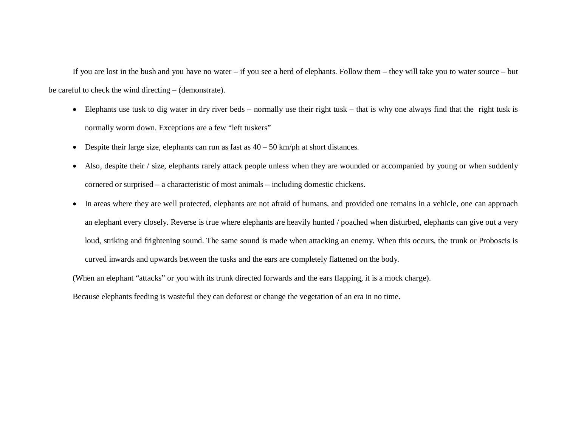If you are lost in the bush and you have no water – if you see a herd of elephants. Follow them – they will take you to water source – but be careful to check the wind directing – (demonstrate).

- Elephants use tusk to dig water in dry river beds normally use their right tusk that is why one always find that the right tusk is normally worm down. Exceptions are a few "left tuskers"
- Despite their large size, elephants can run as fast as  $40 50$  km/ph at short distances.
- Also, despite their / size, elephants rarely attack people unless when they are wounded or accompanied by young or when suddenly cornered or surprised – a characteristic of most animals – including domestic chickens.
- In areas where they are well protected, elephants are not afraid of humans, and provided one remains in a vehicle, one can approach an elephant every closely. Reverse is true where elephants are heavily hunted / poached when disturbed, elephants can give out a very loud, striking and frightening sound. The same sound is made when attacking an enemy. When this occurs, the trunk or Proboscis is curved inwards and upwards between the tusks and the ears are completely flattened on the body.

(When an elephant "attacks" or you with its trunk directed forwards and the ears flapping, it is a mock charge).

Because elephants feeding is wasteful they can deforest or change the vegetation of an era in no time.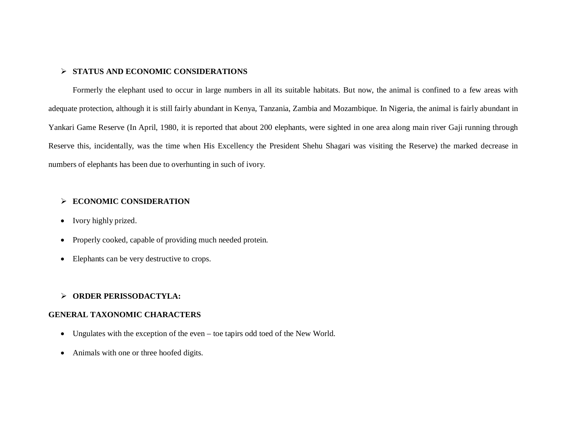### **STATUS AND ECONOMIC CONSIDERATIONS**

Formerly the elephant used to occur in large numbers in all its suitable habitats. But now, the animal is confined to a few areas with adequate protection, although it is still fairly abundant in Kenya, Tanzania, Zambia and Mozambique. In Nigeria, the animal is fairly abundant in Yankari Game Reserve (In April, 1980, it is reported that about 200 elephants, were sighted in one area along main river Gaji running through Reserve this, incidentally, was the time when His Excellency the President Shehu Shagari was visiting the Reserve) the marked decrease in numbers of elephants has been due to overhunting in such of ivory.

### **ECONOMIC CONSIDERATION**

- Ivory highly prized.
- Properly cooked, capable of providing much needed protein.
- Elephants can be very destructive to crops.

### **ORDER PERISSODACTYLA:**

### **GENERAL TAXONOMIC CHARACTERS**

- Ungulates with the exception of the even toe tapirs odd toed of the New World.
- Animals with one or three hoofed digits.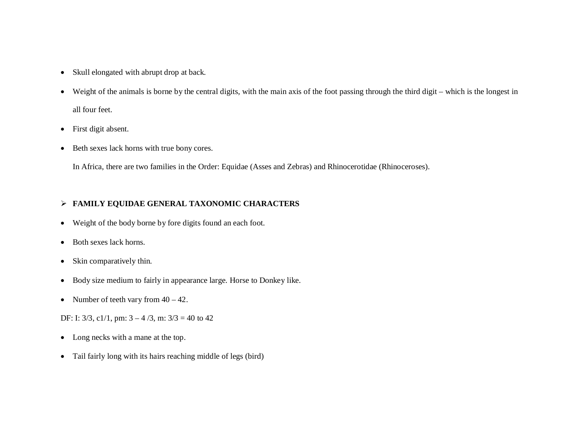- Skull elongated with abrupt drop at back.
- Weight of the animals is borne by the central digits, with the main axis of the foot passing through the third digit which is the longest in all four feet.
- First digit absent.
- Beth sexes lack horns with true bony cores.

In Africa, there are two families in the Order: Equidae (Asses and Zebras) and Rhinocerotidae (Rhinoceroses).

## **FAMILY EQUIDAE GENERAL TAXONOMIC CHARACTERS**

- Weight of the body borne by fore digits found an each foot.
- Both sexes lack horns.
- Skin comparatively thin.
- Body size medium to fairly in appearance large. Horse to Donkey like.
- Number of teeth vary from  $40 42$ .

DF: I:  $3/3$ ,  $c1/1$ , pm:  $3 - 4/3$ , m:  $3/3 = 40$  to  $42$ 

- Long necks with a mane at the top.
- Tail fairly long with its hairs reaching middle of legs (bird)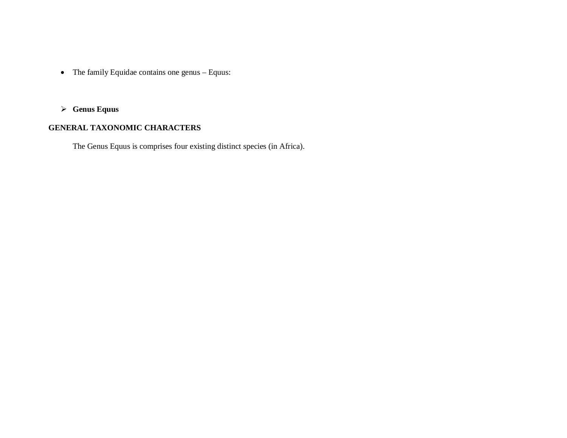- The family Equidae contains one genus Equus:
- **Genus Equus**

# **GENERAL TAXONOMIC CHARACTERS**

The Genus Equus is comprises four existing distinct species (in Africa).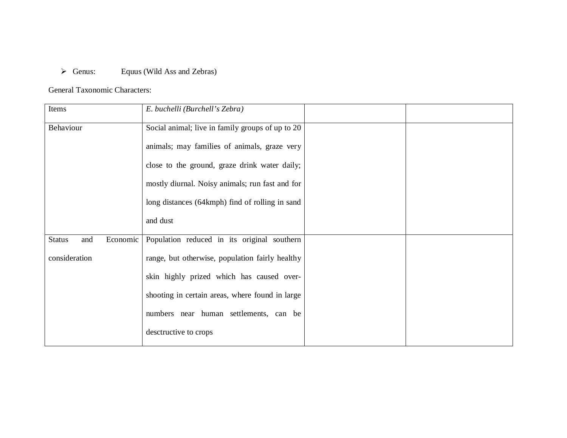# Genus: Equus (Wild Ass and Zebras)

## General Taxonomic Characters:

| Items                            | E. buchelli (Burchell's Zebra)                   |  |
|----------------------------------|--------------------------------------------------|--|
| Behaviour                        | Social animal; live in family groups of up to 20 |  |
|                                  | animals; may families of animals, graze very     |  |
|                                  | close to the ground, graze drink water daily;    |  |
|                                  | mostly diurnal. Noisy animals; run fast and for  |  |
|                                  | long distances (64kmph) find of rolling in sand  |  |
|                                  | and dust                                         |  |
| <b>Status</b><br>Economic<br>and | Population reduced in its original southern      |  |
| consideration                    | range, but otherwise, population fairly healthy  |  |
|                                  | skin highly prized which has caused over-        |  |
|                                  | shooting in certain areas, where found in large  |  |
|                                  | numbers near human settlements, can be           |  |
|                                  | desctructive to crops                            |  |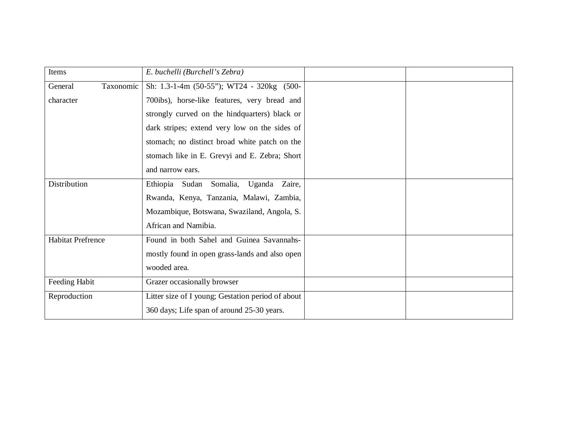| Items                    | E. buchelli (Burchell's Zebra)                    |  |
|--------------------------|---------------------------------------------------|--|
| Taxonomic<br>General     | Sh: 1.3-1-4m (50-55"); WT24 - 320kg (500-         |  |
| character                | 700ibs), horse-like features, very bread and      |  |
|                          | strongly curved on the hindquarters) black or     |  |
|                          | dark stripes; extend very low on the sides of     |  |
|                          | stomach; no distinct broad white patch on the     |  |
|                          | stomach like in E. Grevyi and E. Zebra; Short     |  |
|                          | and narrow ears.                                  |  |
| Distribution             | Ethiopia Sudan Somalia, Uganda Zaire,             |  |
|                          | Rwanda, Kenya, Tanzania, Malawi, Zambia,          |  |
|                          | Mozambique, Botswana, Swaziland, Angola, S.       |  |
|                          | African and Namibia.                              |  |
| <b>Habitat Prefrence</b> | Found in both Sahel and Guinea Savannahs-         |  |
|                          | mostly found in open grass-lands and also open    |  |
|                          | wooded area.                                      |  |
| Feeding Habit            | Grazer occasionally browser                       |  |
| Reproduction             | Litter size of I young; Gestation period of about |  |
|                          | 360 days; Life span of around 25-30 years.        |  |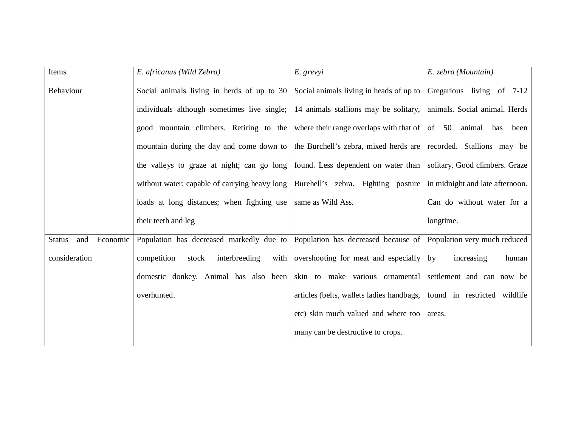| Items                            | E. africanus (Wild Zebra)                                                                                            | E. grevyi                                 | E. zebra (Mountain)           |
|----------------------------------|----------------------------------------------------------------------------------------------------------------------|-------------------------------------------|-------------------------------|
| Behaviour                        | Social animals living in herds of up to $30$                                                                         | Social animals living in heads of up to   | Gregarious living of 7-12     |
|                                  | individuals although sometimes live single;                                                                          | 14 animals stallions may be solitary,     | animals. Social animal. Herds |
|                                  | good mountain climbers. Retiring to the where their range overlaps with that of of 50 animal has been                |                                           |                               |
|                                  | mountain during the day and come down to the Burchell's zebra, mixed herds are recorded. Stallions may be            |                                           |                               |
|                                  | the valleys to graze at night; can go long   found. Less dependent on water than   solitary. Good climbers. Graze    |                                           |                               |
|                                  | without water; capable of carrying heavy long   Burehell's zebra. Fighting posture   in midnight and late afternoon. |                                           |                               |
|                                  | loads at long distances; when fighting use same as Wild Ass.                                                         |                                           | Can do without water for a    |
|                                  | their teeth and leg                                                                                                  |                                           | longtime.                     |
| Economic<br><b>Status</b><br>and | Population has decreased markedly due to Population has decreased because of                                         |                                           | Population very much reduced  |
| consideration                    | interbreeding<br>competition<br>stock<br>with                                                                        | overshooting for meat and especially      | increasing<br>human<br>by     |
|                                  | domestic donkey. Animal has also been                                                                                | skin to make various ornamental           | settlement and can now be     |
|                                  | overhunted.                                                                                                          | articles (belts, wallets ladies handbags, | found in restricted wildlife  |
|                                  |                                                                                                                      | etc) skin much valued and where too       | areas.                        |
|                                  |                                                                                                                      | many can be destructive to crops.         |                               |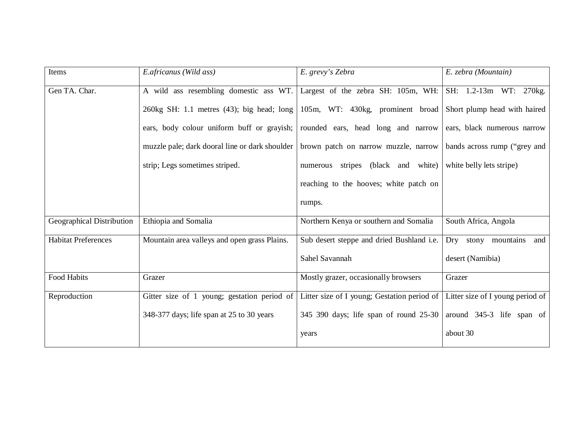| Items                      | E.africanus (Wild ass)                         | E. grevy's Zebra                                              | E. zebra (Mountain)              |
|----------------------------|------------------------------------------------|---------------------------------------------------------------|----------------------------------|
| Gen TA. Char.              | A wild ass resembling domestic ass WT.         | Largest of the zebra SH: 105m, WH:                            | SH: 1.2-13m WT: 270kg.           |
|                            | 260kg SH: 1.1 metres $(43)$ ; big head; long   | 105m, WT: 430kg, prominent broad Short plump head with haired |                                  |
|                            | ears, body colour uniform buff or grayish;     | rounded ears, head long and narrow                            | ears, black numerous narrow      |
|                            | muzzle pale; dark dooral line or dark shoulder | brown patch on narrow muzzle, narrow                          | bands across rump ("grey and     |
|                            | strip; Legs sometimes striped.                 | numerous stripes (black and white)                            | white belly lets stripe)         |
|                            |                                                | reaching to the hooves; white patch on                        |                                  |
|                            |                                                | rumps.                                                        |                                  |
| Geographical Distribution  | Ethiopia and Somalia                           | Northern Kenya or southern and Somalia                        | South Africa, Angola             |
| <b>Habitat Preferences</b> | Mountain area valleys and open grass Plains.   | Sub desert steppe and dried Bushland i.e.                     | Dry stony mountains<br>and       |
|                            |                                                | Sahel Savannah                                                | desert (Namibia)                 |
| Food Habits                | Grazer                                         | Mostly grazer, occasionally browsers                          | Grazer                           |
| Reproduction               | Gitter size of 1 young; gestation period of    | Litter size of I young; Gestation period of                   | Litter size of I young period of |
|                            | 348-377 days; life span at 25 to 30 years      | 345 390 days; life span of round 25-30                        | around 345-3 life span of        |
|                            |                                                | years                                                         | about 30                         |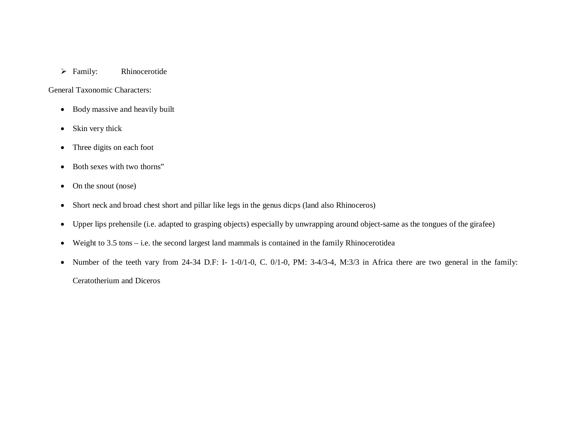### > Family: Rhinocerotide

General Taxonomic Characters:

- Body massive and heavily built
- Skin very thick
- Three digits on each foot
- Both sexes with two thorns"
- On the snout (nose)
- Short neck and broad chest short and pillar like legs in the genus dicps (land also Rhinoceros)
- Upper lips prehensile (i.e. adapted to grasping objects) especially by unwrapping around object-same as the tongues of the girafee)
- Weight to 3.5 tons i.e. the second largest land mammals is contained in the family Rhinocerotidea
- Number of the teeth vary from 24-34 D.F: I- 1-0/1-0, C. 0/1-0, PM: 3-4/3-4, M:3/3 in Africa there are two general in the family: Ceratotherium and Diceros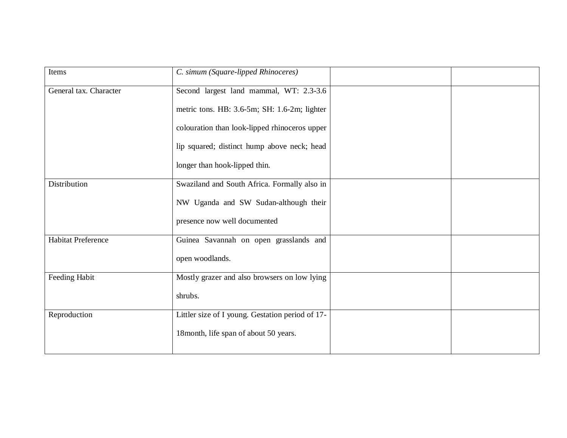| Items                     | C. simum (Square-lipped Rhinoceres)              |  |
|---------------------------|--------------------------------------------------|--|
| General tax. Character    | Second largest land mammal, WT: 2.3-3.6          |  |
|                           | metric tons. HB: 3.6-5m; SH: 1.6-2m; lighter     |  |
|                           | colouration than look-lipped rhinoceros upper    |  |
|                           | lip squared; distinct hump above neck; head      |  |
|                           | longer than hook-lipped thin.                    |  |
| Distribution              | Swaziland and South Africa. Formally also in     |  |
|                           | NW Uganda and SW Sudan-although their            |  |
|                           | presence now well documented                     |  |
| <b>Habitat Preference</b> | Guinea Savannah on open grasslands and           |  |
|                           | open woodlands.                                  |  |
| Feeding Habit             | Mostly grazer and also browsers on low lying     |  |
|                           | shrubs.                                          |  |
| Reproduction              | Littler size of I young. Gestation period of 17- |  |
|                           | 18month, life span of about 50 years.            |  |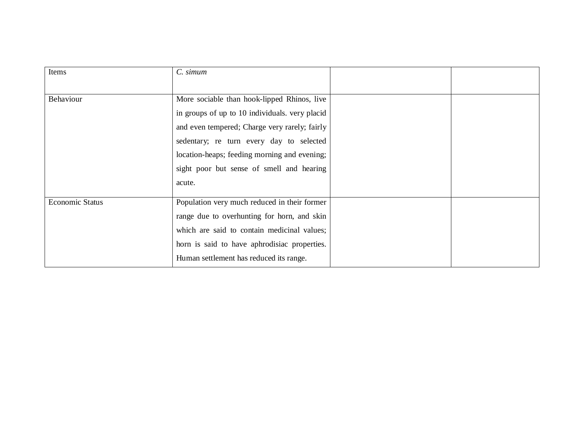| Items                  | C. simum                                       |  |
|------------------------|------------------------------------------------|--|
|                        |                                                |  |
| Behaviour              | More sociable than hook-lipped Rhinos, live    |  |
|                        | in groups of up to 10 individuals. very placid |  |
|                        | and even tempered; Charge very rarely; fairly  |  |
|                        | sedentary; re turn every day to selected       |  |
|                        | location-heaps; feeding morning and evening;   |  |
|                        | sight poor but sense of smell and hearing      |  |
|                        | acute.                                         |  |
| <b>Economic Status</b> | Population very much reduced in their former   |  |
|                        | range due to overhunting for horn, and skin    |  |
|                        | which are said to contain medicinal values;    |  |
|                        | horn is said to have aphrodisiac properties.   |  |
|                        | Human settlement has reduced its range.        |  |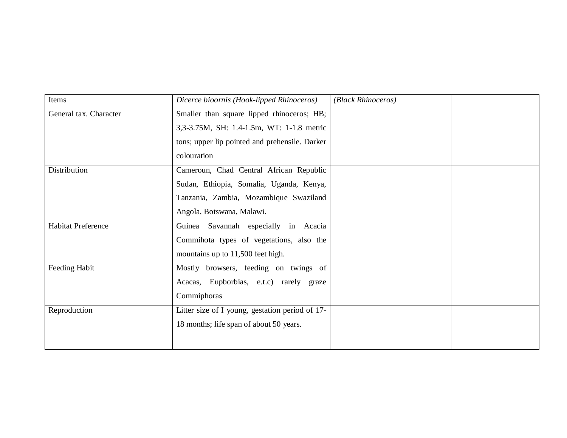| Items                     | Dicerce bioornis (Hook-lipped Rhinoceros)       | (Black Rhinoceros) |  |
|---------------------------|-------------------------------------------------|--------------------|--|
| General tax. Character    | Smaller than square lipped rhinoceros; HB;      |                    |  |
|                           | 3,3-3.75M, SH: 1.4-1.5m, WT: 1-1.8 metric       |                    |  |
|                           | tons; upper lip pointed and prehensile. Darker  |                    |  |
|                           | colouration                                     |                    |  |
| <b>Distribution</b>       | Cameroun, Chad Central African Republic         |                    |  |
|                           | Sudan, Ethiopia, Somalia, Uganda, Kenya,        |                    |  |
|                           | Tanzania, Zambia, Mozambique Swaziland          |                    |  |
|                           | Angola, Botswana, Malawi.                       |                    |  |
| <b>Habitat Preference</b> | Guinea Savannah especially in Acacia            |                    |  |
|                           | Commihota types of vegetations, also the        |                    |  |
|                           | mountains up to 11,500 feet high.               |                    |  |
| Feeding Habit             | Mostly browsers, feeding on twings of           |                    |  |
|                           | Acacas, Eupborbias, e.t.c) rarely graze         |                    |  |
|                           | Commiphoras                                     |                    |  |
| Reproduction              | Litter size of I young, gestation period of 17- |                    |  |
|                           | 18 months; life span of about 50 years.         |                    |  |
|                           |                                                 |                    |  |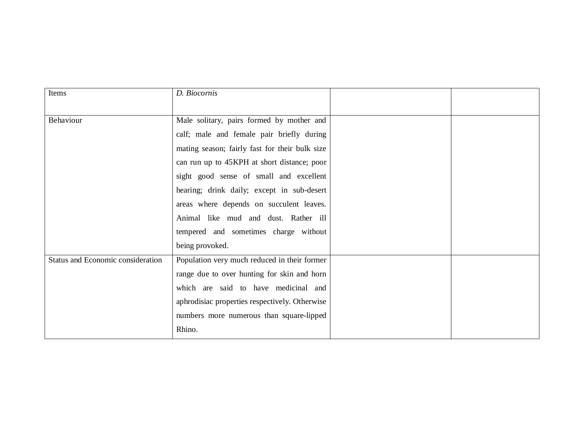| Items                             | D. Biocomis                                    |  |
|-----------------------------------|------------------------------------------------|--|
|                                   |                                                |  |
| Behaviour                         | Male solitary, pairs formed by mother and      |  |
|                                   | calf; male and female pair briefly during      |  |
|                                   | mating season; fairly fast for their bulk size |  |
|                                   | can run up to 45KPH at short distance; poor    |  |
|                                   | sight good sense of small and excellent        |  |
|                                   | hearing; drink daily; except in sub-desert     |  |
|                                   | areas where depends on succulent leaves.       |  |
|                                   | Animal like mud and dust. Rather ill           |  |
|                                   | tempered and sometimes charge without          |  |
|                                   | being provoked.                                |  |
| Status and Economic consideration | Population very much reduced in their former   |  |
|                                   | range due to over hunting for skin and horn    |  |
|                                   | which are said to have medicinal and           |  |
|                                   | aphrodisiac properties respectively. Otherwise |  |
|                                   | numbers more numerous than square-lipped       |  |
|                                   | Rhino.                                         |  |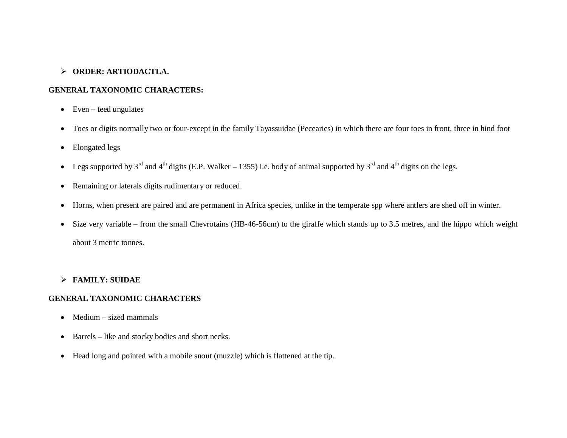### **ORDER: ARTIODACTLA.**

### **GENERAL TAXONOMIC CHARACTERS:**

- $\bullet$  Even teed ungulates
- Toes or digits normally two or four-except in the family Tayassuidae (Pecearies) in which there are four toes in front, three in hind foot
- Elongated legs
- Eegs supported by  $3^{rd}$  and  $4^{th}$  digits (E.P. Walker 1355) i.e. body of animal supported by  $3^{rd}$  and  $4^{th}$  digits on the legs.
- Remaining or laterals digits rudimentary or reduced.
- Horns, when present are paired and are permanent in Africa species, unlike in the temperate spp where antlers are shed off in winter.
- Size very variable from the small Chevrotains (HB-46-56cm) to the giraffe which stands up to 3.5 metres, and the hippo which weight about 3 metric tonnes.

### **FAMILY: SUIDAE**

### **GENERAL TAXONOMIC CHARACTERS**

- $\bullet$  Medium sized mammals
- Barrels like and stocky bodies and short necks.
- Head long and pointed with a mobile snout (muzzle) which is flattened at the tip.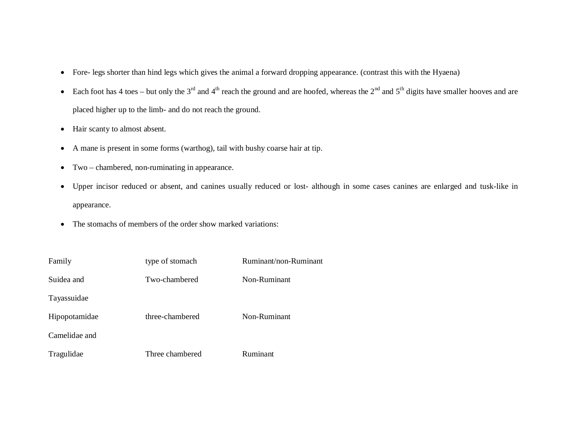- Fore- legs shorter than hind legs which gives the animal a forward dropping appearance. (contrast this with the Hyaena)
- Each foot has 4 toes but only the 3<sup>rd</sup> and 4<sup>th</sup> reach the ground and are hoofed, whereas the 2<sup>nd</sup> and 5<sup>th</sup> digits have smaller hooves and are placed higher up to the limb- and do not reach the ground.
- Hair scanty to almost absent.
- A mane is present in some forms (warthog), tail with bushy coarse hair at tip.
- Two chambered, non-ruminating in appearance.
- Upper incisor reduced or absent, and canines usually reduced or lost- although in some cases canines are enlarged and tusk-like in appearance.
- The stomachs of members of the order show marked variations:

| Family        | type of stomach | Ruminant/non-Ruminant |
|---------------|-----------------|-----------------------|
| Suidea and    | Two-chambered   | Non-Ruminant          |
| Tayassuidae   |                 |                       |
| Hipopotamidae | three-chambered | Non-Ruminant          |
| Camelidae and |                 |                       |
| Tragulidae    | Three chambered | Ruminant              |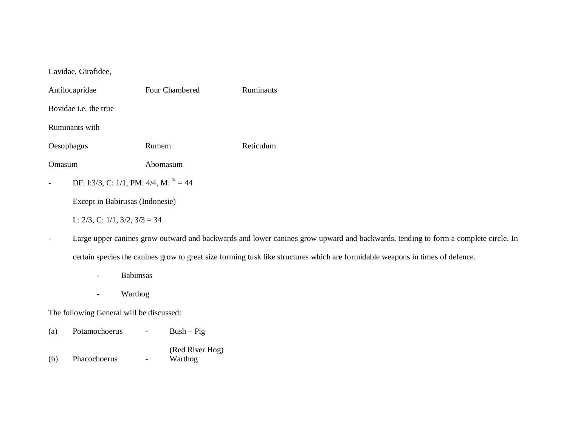| Antilocapridae                              | Four Chambered | <b>Ruminants</b> |  |  |
|---------------------------------------------|----------------|------------------|--|--|
| Bovidae <i>i.e.</i> the true                |                |                  |  |  |
| Ruminants with                              |                |                  |  |  |
| Oesophagus                                  | Rumem          | Reticulum        |  |  |
| Abomasum<br>masum                           |                |                  |  |  |
| DF: 1:3/3, C: 1/1, PM: 4/4, M: $^{34} = 44$ |                |                  |  |  |

Except in Babirusas (Indonesie)

L: 2/3, C: 1/1, 3/2, 3/3 = 34

- Large upper canines grow outward and backwards and lower canines grow upward and backwards, tending to form a complete circle. In certain species the canines grow to great size forming tusk like structures which are formidable weapons in times of defence.

- Babimsas
- Warthog

The following General will be discussed:

- (a) Potamochoerus Bush Pig (Red River Hog)
- (b) Phacochoerus -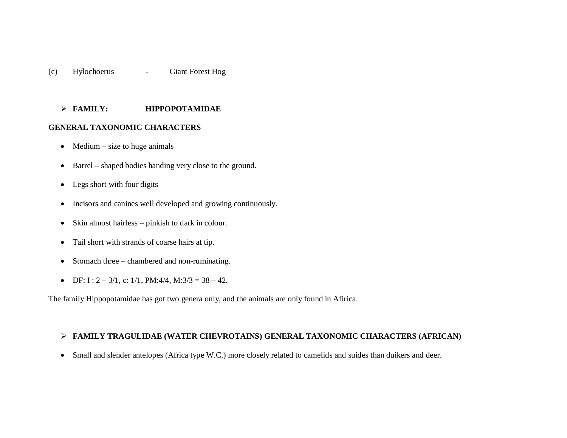### (c) Hylochoerus - Giant Forest Hog

#### **FAMILY: HIPPOPOTAMIDAE**

#### **GENERAL TAXONOMIC CHARACTERS**

- $\bullet$  Medium size to huge animals
- Barrel shaped bodies handing very close to the ground.
- Legs short with four digits
- Incisors and canines well developed and growing continuously.
- Skin almost hairless pinkish to dark in colour.
- Tail short with strands of coarse hairs at tip.
- Stomach three chambered and non-ruminating.
- DF: I :  $2 3/1$ , c: 1/1, PM:4/4, M:3/3 = 38 42.

The family Hippopotamidae has got two genera only, and the animals are only found in Afirica.

#### **FAMILY TRAGULIDAE (WATER CHEVROTAINS) GENERAL TAXONOMIC CHARACTERS (AFRICAN)**

• Small and slender antelopes (Africa type W.C.) more closely related to camelids and suides than duikers and deer.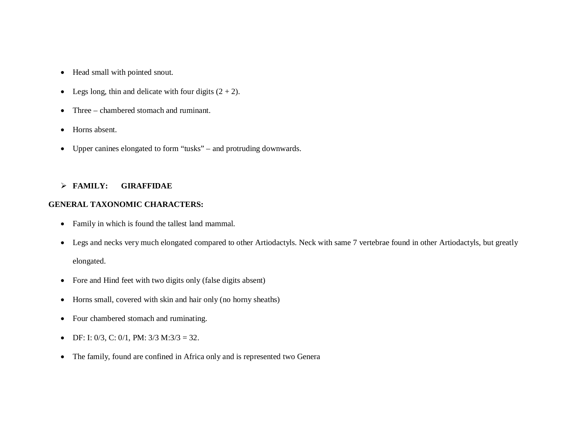- Head small with pointed snout.
- Legs long, thin and delicate with four digits  $(2 + 2)$ .
- Three chambered stomach and ruminant.
- Horns absent.
- Upper canines elongated to form "tusks" and protruding downwards.

### **FAMILY: GIRAFFIDAE**

## **GENERAL TAXONOMIC CHARACTERS:**

- Family in which is found the tallest land mammal.
- Legs and necks very much elongated compared to other Artiodactyls. Neck with same 7 vertebrae found in other Artiodactyls, but greatly elongated.
- Fore and Hind feet with two digits only (false digits absent)
- Horns small, covered with skin and hair only (no horny sheaths)
- Four chambered stomach and ruminating.
- DF: I: 0/3, C: 0/1, PM:  $3/3$  M: $3/3 = 32$ .
- The family, found are confined in Africa only and is represented two Genera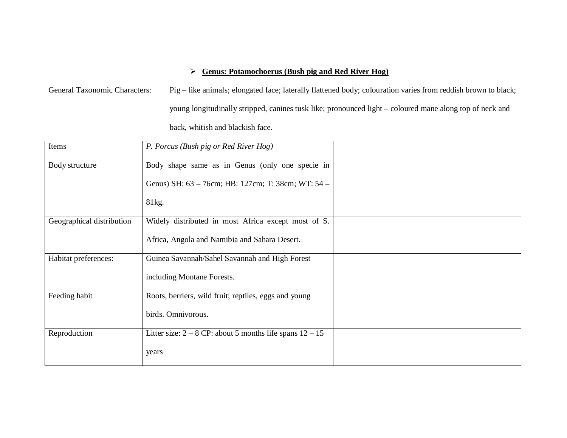## **Genus: Potamochoerus (Bush pig and Red River Hog)**

General Taxonomic Characters: Pig – like animals; elongated face; laterally flattened body; colouration varies from reddish brown to black; young longitudinally stripped, canines tusk like; pronounced light – coloured mane along top of neck and back, whitish and blackish face.

| Items                     | P. Porcus (Bush pig or Red River Hog)                        |  |
|---------------------------|--------------------------------------------------------------|--|
| Body structure            | Body shape same as in Genus (only one specie in              |  |
|                           | Genus) SH: 63 - 76cm; HB: 127cm; T: 38cm; WT: 54 -           |  |
|                           | 81kg.                                                        |  |
| Geographical distribution | Widely distributed in most Africa except most of S.          |  |
|                           | Africa, Angola and Namibia and Sahara Desert.                |  |
| Habitat preferences:      | Guinea Savannah/Sahel Savannah and High Forest               |  |
|                           | including Montane Forests.                                   |  |
| Feeding habit             | Roots, berriers, wild fruit; reptiles, eggs and young        |  |
|                           | birds. Omnivorous.                                           |  |
| Reproduction              | Litter size: $2 - 8$ CP: about 5 months life spans $12 - 15$ |  |
|                           | years                                                        |  |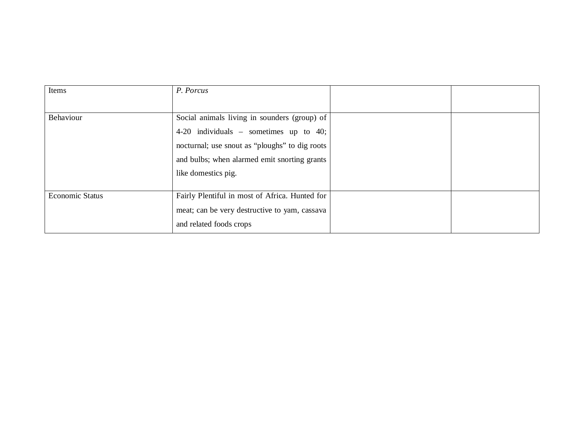| Items                  | P. Porcus                                      |  |
|------------------------|------------------------------------------------|--|
|                        |                                                |  |
| Behaviour              | Social animals living in sounders (group) of   |  |
|                        | 4-20 individuals $-$ sometimes up to 40;       |  |
|                        | nocturnal; use snout as "ploughs" to dig roots |  |
|                        | and bulbs; when alarmed emit snorting grants   |  |
|                        | like domestics pig.                            |  |
|                        |                                                |  |
| <b>Economic Status</b> | Fairly Plentiful in most of Africa. Hunted for |  |
|                        | meat; can be very destructive to yam, cassava  |  |
|                        | and related foods crops                        |  |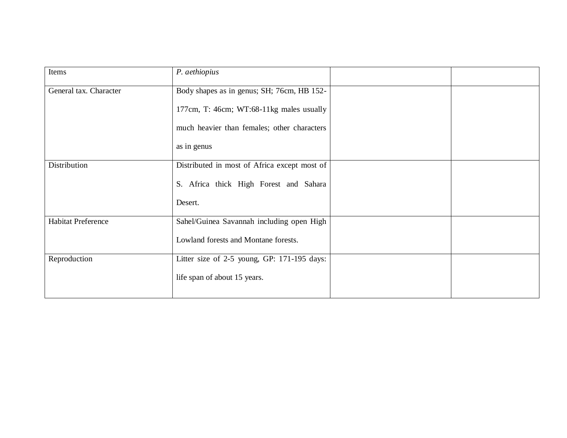| Items                     | P. aethiopius                                |  |
|---------------------------|----------------------------------------------|--|
| General tax. Character    | Body shapes as in genus; SH; 76cm, HB 152-   |  |
|                           | 177cm, T: 46cm; WT:68-11kg males usually     |  |
|                           | much heavier than females; other characters  |  |
|                           | as in genus                                  |  |
| Distribution              | Distributed in most of Africa except most of |  |
|                           | S. Africa thick High Forest and Sahara       |  |
|                           | Desert.                                      |  |
| <b>Habitat Preference</b> | Sahel/Guinea Savannah including open High    |  |
|                           | Lowland forests and Montane forests.         |  |
| Reproduction              | Litter size of 2-5 young, GP: 171-195 days:  |  |
|                           | life span of about 15 years.                 |  |
|                           |                                              |  |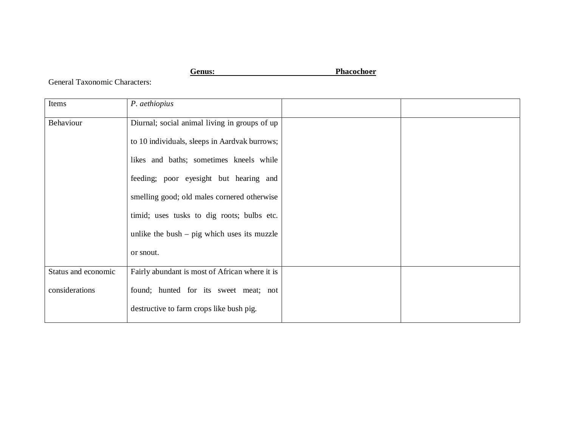**Genus: Phacochoer**

General Taxonomic Characters:

| Items               | P. aethiopius                                  |  |
|---------------------|------------------------------------------------|--|
| Behaviour           | Diurnal; social animal living in groups of up  |  |
|                     | to 10 individuals, sleeps in Aardvak burrows;  |  |
|                     | likes and baths; sometimes kneels while        |  |
|                     | feeding; poor eyesight but hearing and         |  |
|                     | smelling good; old males cornered otherwise    |  |
|                     | timid; uses tusks to dig roots; bulbs etc.     |  |
|                     | unlike the bush $-$ pig which uses its muzzle  |  |
|                     | or snout.                                      |  |
| Status and economic | Fairly abundant is most of African where it is |  |
| considerations      | found; hunted for its sweet meat; not          |  |
|                     | destructive to farm crops like bush pig.       |  |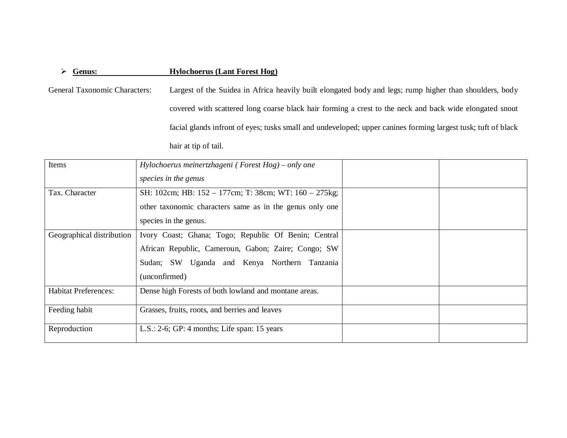## **Genus: Hylochoerus (Lant Forest Hog)**

General Taxonomic Characters: Largest of the Suidea in Africa heavily built elongated body and legs; rump higher than shoulders, body covered with scattered long coarse black hair forming a crest to the neck and back wide elongated snout facial glands infront of eyes; tusks small and undeveloped; upper canines forming largest tusk; tuft of black hair at tip of tail.

| Items                       | Hylochoerus meinertzhageni (Forest Hog) – only one<br>species in the genus                                                                                                   |  |
|-----------------------------|------------------------------------------------------------------------------------------------------------------------------------------------------------------------------|--|
| Tax. Character              | SH: 102cm; HB: 152 - 177cm; T: 38cm; WT: 160 - 275kg;<br>other taxonomic characters same as in the genus only one                                                            |  |
|                             | species in the genus.                                                                                                                                                        |  |
| Geographical distribution   | Ivory Coast; Ghana; Togo; Republic Of Benin; Central<br>African Republic, Cameroun, Gabon; Zaire; Congo; SW<br>Sudan; SW Uganda and Kenya Northern Tanzania<br>(unconfirmed) |  |
| <b>Habitat Preferences:</b> | Dense high Forests of both lowland and montane areas.                                                                                                                        |  |
| Feeding habit               | Grasses, fruits, roots, and berries and leaves                                                                                                                               |  |
| Reproduction                | $L.S.: 2-6; GP: 4 months; Life span: 15 years$                                                                                                                               |  |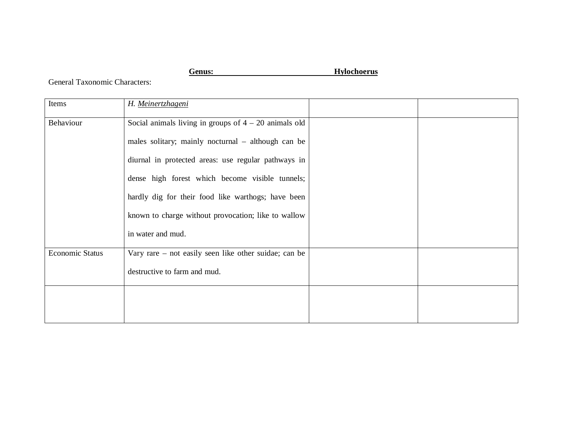**Genus: Hylochoerus**

General Taxonomic Characters:

| Items                  | H. Meinertzhageni                                       |  |
|------------------------|---------------------------------------------------------|--|
| Behaviour              | Social animals living in groups of $4 - 20$ animals old |  |
|                        | males solitary; mainly nocturnal – although can be      |  |
|                        | diurnal in protected areas: use regular pathways in     |  |
|                        | dense high forest which become visible tunnels;         |  |
|                        | hardly dig for their food like warthogs; have been      |  |
|                        | known to charge without provocation; like to wallow     |  |
|                        | in water and mud.                                       |  |
| <b>Economic Status</b> | Vary rare – not easily seen like other suidae; can be   |  |
|                        | destructive to farm and mud.                            |  |
|                        |                                                         |  |
|                        |                                                         |  |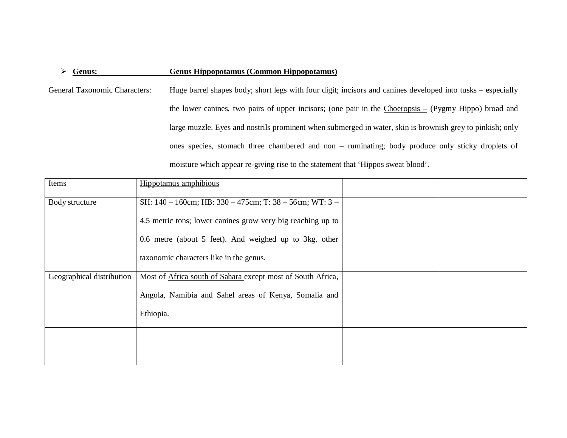### **Genus: Genus Hippopotamus (Common Hippopotamus)**

General Taxonomic Characters: Huge barrel shapes body; short legs with four digit; incisors and canines developed into tusks – especially the lower canines, two pairs of upper incisors; (one pair in the  $Choerosis - (Pygmy Hippo)$  broad and large muzzle. Eyes and nostrils prominent when submerged in water, skin is brownish grey to pinkish; only ones species, stomach three chambered and non – ruminating; body produce only sticky droplets of moisture which appear re-giving rise to the statement that 'Hippos sweat blood'.

| Items                     | Hippotamus amphibious                                              |  |
|---------------------------|--------------------------------------------------------------------|--|
| Body structure            | SH: $140 - 160$ cm; HB: $330 - 475$ cm; T: $38 - 56$ cm; WT: $3 -$ |  |
|                           | 4.5 metric tons; lower canines grow very big reaching up to        |  |
|                           | 0.6 metre (about 5 feet). And weighed up to 3kg. other             |  |
|                           | taxonomic characters like in the genus.                            |  |
| Geographical distribution | Most of Africa south of Sahara except most of South Africa,        |  |
|                           | Angola, Namibia and Sahel areas of Kenya, Somalia and              |  |
|                           | Ethiopia.                                                          |  |
|                           |                                                                    |  |
|                           |                                                                    |  |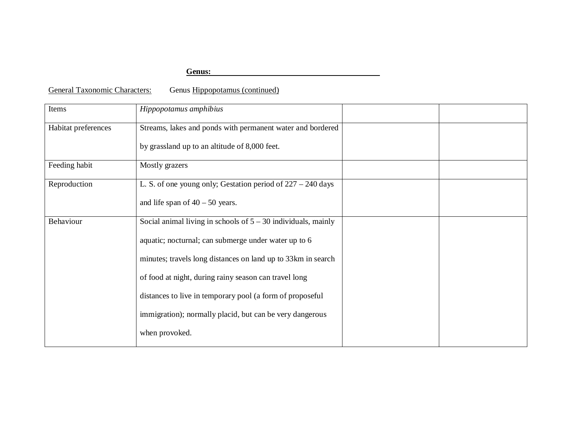### **Genus:**

General Taxonomic Characters: Genus Hippopotamus (continued)

| Items               | Hippopotamus amphibius                                          |  |
|---------------------|-----------------------------------------------------------------|--|
| Habitat preferences | Streams, lakes and ponds with permanent water and bordered      |  |
|                     | by grassland up to an altitude of 8,000 feet.                   |  |
| Feeding habit       | Mostly grazers                                                  |  |
| Reproduction        | L. S. of one young only; Gestation period of $227 - 240$ days   |  |
|                     | and life span of $40 - 50$ years.                               |  |
| Behaviour           | Social animal living in schools of $5 - 30$ individuals, mainly |  |
|                     | aquatic; nocturnal; can submerge under water up to 6            |  |
|                     | minutes; travels long distances on land up to 33km in search    |  |
|                     | of food at night, during rainy season can travel long           |  |
|                     | distances to live in temporary pool (a form of proposeful       |  |
|                     | immigration); normally placid, but can be very dangerous        |  |
|                     | when provoked.                                                  |  |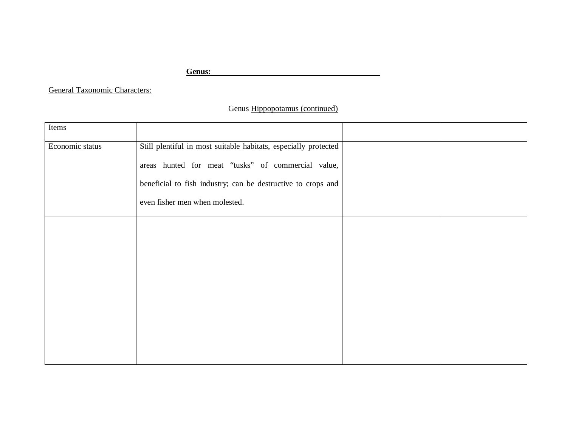**Genus:** 

General Taxonomic Characters:

## Genus Hippopotamus (continued)

| Items           |                                                                 |  |
|-----------------|-----------------------------------------------------------------|--|
| Economic status | Still plentiful in most suitable habitats, especially protected |  |
|                 | areas hunted for meat "tusks" of commercial value,              |  |
|                 | beneficial to fish industry; can be destructive to crops and    |  |
|                 | even fisher men when molested.                                  |  |
|                 |                                                                 |  |
|                 |                                                                 |  |
|                 |                                                                 |  |
|                 |                                                                 |  |
|                 |                                                                 |  |
|                 |                                                                 |  |
|                 |                                                                 |  |
|                 |                                                                 |  |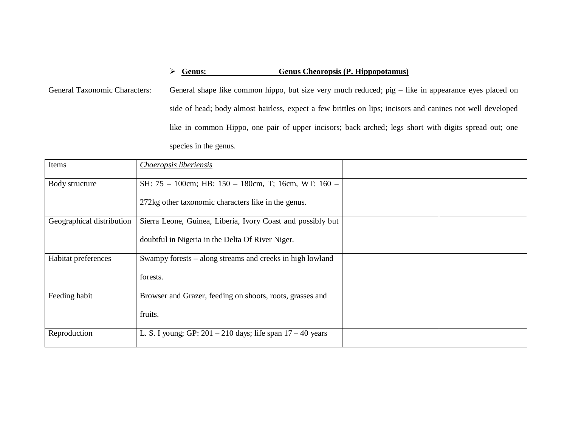## **Genus: Genus Cheoropsis (P. Hippopotamus)**

General Taxonomic Characters: General shape like common hippo, but size very much reduced; pig – like in appearance eyes placed on side of head; body almost hairless, expect a few brittles on lips; incisors and canines not well developed like in common Hippo, one pair of upper incisors; back arched; legs short with digits spread out; one species in the genus.

| Items                     | Choeropsis liberiensis                                         |  |
|---------------------------|----------------------------------------------------------------|--|
| Body structure            | SH: 75 - 100cm; HB: 150 - 180cm, T; 16cm, WT: 160 -            |  |
|                           | 272kg other taxonomic characters like in the genus.            |  |
| Geographical distribution | Sierra Leone, Guinea, Liberia, Ivory Coast and possibly but    |  |
|                           | doubtful in Nigeria in the Delta Of River Niger.               |  |
| Habitat preferences       | Swampy forests – along streams and creeks in high lowland      |  |
|                           | forests.                                                       |  |
| Feeding habit             | Browser and Grazer, feeding on shoots, roots, grasses and      |  |
|                           | fruits.                                                        |  |
| Reproduction              | L. S. I young; GP: $201 - 210$ days; life span $17 - 40$ years |  |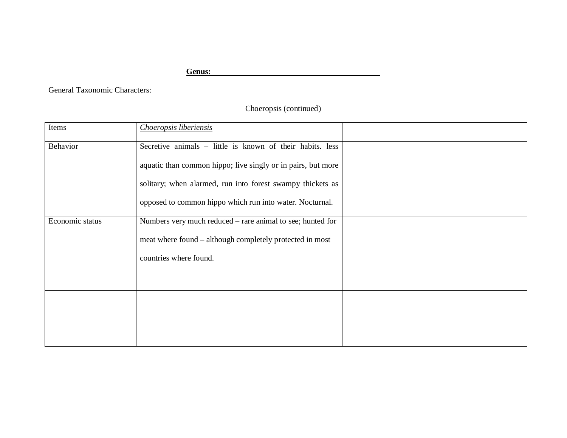**Genus:** 

General Taxonomic Characters:

Choeropsis (continued)

| Items           | Choeropsis liberiensis                                       |  |
|-----------------|--------------------------------------------------------------|--|
| Behavior        | Secretive animals – little is known of their habits. less    |  |
|                 | aquatic than common hippo; live singly or in pairs, but more |  |
|                 | solitary; when alarmed, run into forest swampy thickets as   |  |
|                 | opposed to common hippo which run into water. Nocturnal.     |  |
| Economic status | Numbers very much reduced – rare animal to see; hunted for   |  |
|                 | meat where found – although completely protected in most     |  |
|                 | countries where found.                                       |  |
|                 |                                                              |  |
|                 |                                                              |  |
|                 |                                                              |  |
|                 |                                                              |  |
|                 |                                                              |  |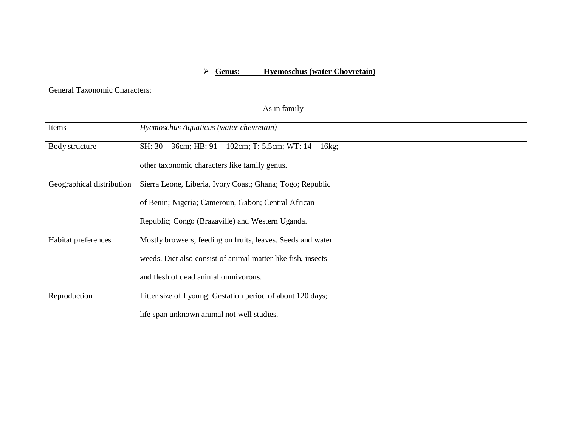## **Genus: Hyemoschus (water Chovretain)**

General Taxonomic Characters:

## As in family

| Items                     | Hyemoschus Aquaticus (water chevretain)                      |  |
|---------------------------|--------------------------------------------------------------|--|
| Body structure            | SH: 30 - 36cm; HB: 91 - 102cm; T: 5.5cm; WT: 14 - 16kg;      |  |
|                           | other taxonomic characters like family genus.                |  |
| Geographical distribution | Sierra Leone, Liberia, Ivory Coast; Ghana; Togo; Republic    |  |
|                           | of Benin; Nigeria; Cameroun, Gabon; Central African          |  |
|                           | Republic; Congo (Brazaville) and Western Uganda.             |  |
| Habitat preferences       | Mostly browsers; feeding on fruits, leaves. Seeds and water  |  |
|                           | weeds. Diet also consist of animal matter like fish, insects |  |
|                           | and flesh of dead animal omnivorous.                         |  |
| Reproduction              | Litter size of I young; Gestation period of about 120 days;  |  |
|                           | life span unknown animal not well studies.                   |  |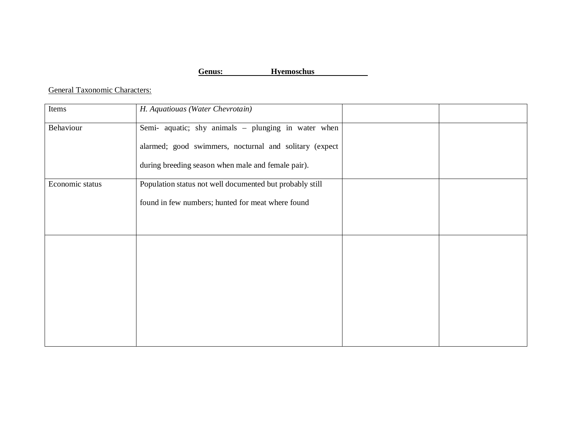**Genus: Hyemoschus**

General Taxonomic Characters:

| Items           | H. Aquatiouas (Water Chevrotain)                         |
|-----------------|----------------------------------------------------------|
| Behaviour       | Semi- aquatic; shy animals - plunging in water when      |
|                 | alarmed; good swimmers, nocturnal and solitary (expect   |
|                 | during breeding season when male and female pair).       |
| Economic status | Population status not well documented but probably still |
|                 | found in few numbers; hunted for meat where found        |
|                 |                                                          |
|                 |                                                          |
|                 |                                                          |
|                 |                                                          |
|                 |                                                          |
|                 |                                                          |
|                 |                                                          |
|                 |                                                          |
|                 |                                                          |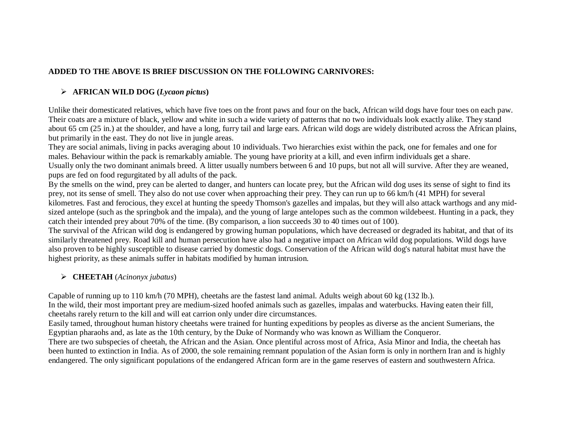## **ADDED TO THE ABOVE IS BRIEF DISCUSSION ON THE FOLLOWING CARNIVORES:**

# **AFRICAN WILD DOG (***Lycaon pictus***)**

Unlike their domesticated relatives, which have five toes on the front paws and four on the back, African wild dogs have four toes on each paw. Their coats are a mixture of black, yellow and white in such a wide variety of patterns that no two individuals look exactly alike. They stand about 65 cm (25 in.) at the shoulder, and have a long, furry tail and large ears. African wild dogs are widely distributed across the African plains, but primarily in the east. They do not live in jungle areas.

They are social animals, living in packs averaging about 10 individuals. Two hierarchies exist within the pack, one for females and one for males. Behaviour within the pack is remarkably amiable. The young have priority at a kill, and even infirm individuals get a share. Usually only the two dominant animals breed. A litter usually numbers between 6 and 10 pups, but not all will survive. After they are weaned, pups are fed on food regurgitated by all adults of the pack.

By the smells on the wind, prey can be alerted to danger, and hunters can locate prey, but the African wild dog uses its sense of sight to find its prey, not its sense of smell. They also do not use cover when approaching their prey. They can run up to 66 km/h (41 MPH) for several kilometres. Fast and ferocious, they excel at hunting the speedy Thomson's gazelles and impalas, but they will also attack warthogs and any midsized antelope (such as the springbok and the impala), and the young of large antelopes such as the common wildebeest. Hunting in a pack, they catch their intended prey about 70% of the time. (By comparison, a lion succeeds 30 to 40 times out of 100).

The survival of the African wild dog is endangered by growing human populations, which have decreased or degraded its habitat, and that of its similarly threatened prey. Road kill and human persecution have also had a negative impact on African wild dog populations. Wild dogs have also proven to be highly susceptible to disease carried by domestic dogs. Conservation of the African wild dog's natural habitat must have the highest priority, as these animals suffer in habitats modified by human intrusion.

## **CHEETAH** (*Acinonyx jubatus*)

Capable of running up to 110 km/h (70 MPH), cheetahs are the fastest land animal. Adults weigh about 60 kg (132 lb.).

In the wild, their most important prey are medium-sized hoofed animals such as gazelles, impalas and waterbucks. Having eaten their fill, cheetahs rarely return to the kill and will eat carrion only under dire circumstances.

Easily tamed, throughout human history cheetahs were trained for hunting expeditions by peoples as diverse as the ancient Sumerians, the Egyptian pharaohs and, as late as the 10th century, by the Duke of Normandy who was known as William the Conqueror.

There are two subspecies of cheetah, the African and the Asian. Once plentiful across most of Africa, Asia Minor and India, the cheetah has been hunted to extinction in India. As of 2000, the sole remaining remnant population of the Asian form is only in northern Iran and is highly endangered. The only significant populations of the endangered African form are in the game reserves of eastern and southwestern Africa.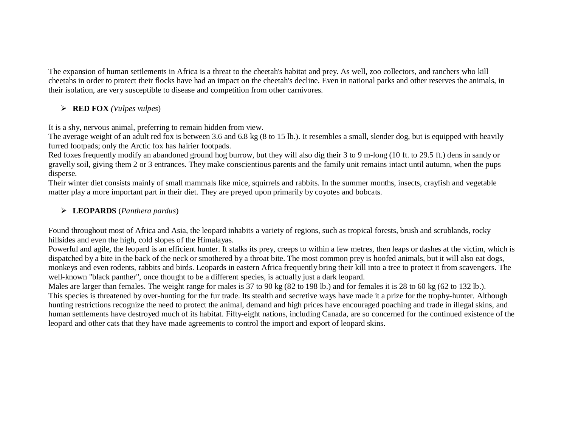The expansion of human settlements in Africa is a threat to the cheetah's habitat and prey. As well, zoo collectors, and ranchers who kill cheetahs in order to protect their flocks have had an impact on the cheetah's decline. Even in national parks and other reserves the animals, in their isolation, are very susceptible to disease and competition from other carnivores.

### **RED FOX** *(Vulpes vulpes*)

It is a shy, nervous animal, preferring to remain hidden from view.

The average weight of an adult red fox is between 3.6 and 6.8 kg (8 to 15 lb.). It resembles a small, slender dog, but is equipped with heavily furred footpads; only the Arctic fox has hairier footpads.

Red foxes frequently modify an abandoned ground hog burrow, but they will also dig their 3 to 9 m-long (10 ft. to 29.5 ft.) dens in sandy or gravelly soil, giving them 2 or 3 entrances. They make conscientious parents and the family unit remains intact until autumn, when the pups disperse.

Their winter diet consists mainly of small mammals like mice, squirrels and rabbits. In the summer months, insects, crayfish and vegetable matter play a more important part in their diet. They are preyed upon primarily by coyotes and bobcats.

## **LEOPARDS** (*Panthera pardus*)

Found throughout most of Africa and Asia, the leopard inhabits a variety of regions, such as tropical forests, brush and scrublands, rocky hillsides and even the high, cold slopes of the Himalayas.

Powerful and agile, the leopard is an efficient hunter. It stalks its prey, creeps to within a few metres, then leaps or dashes at the victim, which is dispatched by a bite in the back of the neck or smothered by a throat bite. The most common prey is hoofed animals, but it will also eat dogs, monkeys and even rodents, rabbits and birds. Leopards in eastern Africa frequently bring their kill into a tree to protect it from scavengers. The well-known "black panther", once thought to be a different species, is actually just a dark leopard.

Males are larger than females. The weight range for males is 37 to 90 kg (82 to 198 lb.) and for females it is 28 to 60 kg (62 to 132 lb.). This species is threatened by over-hunting for the fur trade. Its stealth and secretive ways have made it a prize for the trophy-hunter. Although hunting restrictions recognize the need to protect the animal, demand and high prices have encouraged poaching and trade in illegal skins, and human settlements have destroyed much of its habitat. Fifty-eight nations, including Canada, are so concerned for the continued existence of the leopard and other cats that they have made agreements to control the import and export of leopard skins.